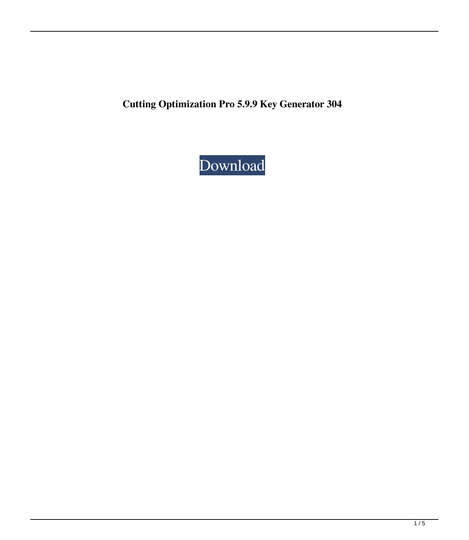**Cutting Optimization Pro 5.9.9 Key Generator 304**

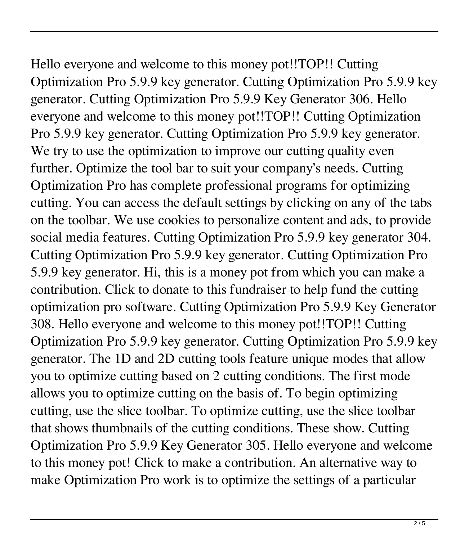Hello everyone and welcome to this money pot!!TOP!! Cutting Optimization Pro 5.9.9 key generator. Cutting Optimization Pro 5.9.9 key generator. Cutting Optimization Pro 5.9.9 Key Generator 306. Hello everyone and welcome to this money pot!!TOP!! Cutting Optimization Pro 5.9.9 key generator. Cutting Optimization Pro 5.9.9 key generator. We try to use the optimization to improve our cutting quality even further. Optimize the tool bar to suit your company's needs. Cutting Optimization Pro has complete professional programs for optimizing cutting. You can access the default settings by clicking on any of the tabs on the toolbar. We use cookies to personalize content and ads, to provide social media features. Cutting Optimization Pro 5.9.9 key generator 304. Cutting Optimization Pro 5.9.9 key generator. Cutting Optimization Pro 5.9.9 key generator. Hi, this is a money pot from which you can make a contribution. Click to donate to this fundraiser to help fund the cutting optimization pro software. Cutting Optimization Pro 5.9.9 Key Generator 308. Hello everyone and welcome to this money pot!!TOP!! Cutting Optimization Pro 5.9.9 key generator. Cutting Optimization Pro 5.9.9 key generator. The 1D and 2D cutting tools feature unique modes that allow you to optimize cutting based on 2 cutting conditions. The first mode allows you to optimize cutting on the basis of. To begin optimizing cutting, use the slice toolbar. To optimize cutting, use the slice toolbar that shows thumbnails of the cutting conditions. These show. Cutting Optimization Pro 5.9.9 Key Generator 305. Hello everyone and welcome to this money pot! Click to make a contribution. An alternative way to make Optimization Pro work is to optimize the settings of a particular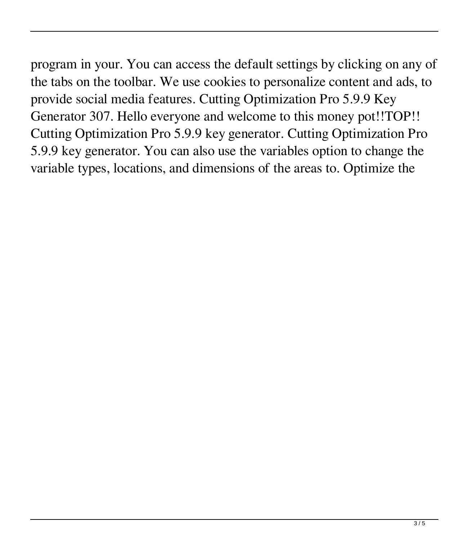program in your. You can access the default settings by clicking on any of the tabs on the toolbar. We use cookies to personalize content and ads, to provide social media features. Cutting Optimization Pro 5.9.9 Key Generator 307. Hello everyone and welcome to this money pot!!TOP!! Cutting Optimization Pro 5.9.9 key generator. Cutting Optimization Pro 5.9.9 key generator. You can also use the variables option to change the variable types, locations, and dimensions of the areas to. Optimize the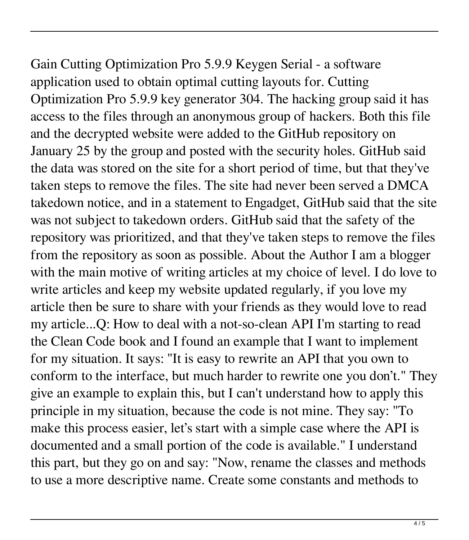Gain Cutting Optimization Pro 5.9.9 Keygen Serial - a software application used to obtain optimal cutting layouts for. Cutting Optimization Pro 5.9.9 key generator 304. The hacking group said it has access to the files through an anonymous group of hackers. Both this file and the decrypted website were added to the GitHub repository on January 25 by the group and posted with the security holes. GitHub said the data was stored on the site for a short period of time, but that they've taken steps to remove the files. The site had never been served a DMCA takedown notice, and in a statement to Engadget, GitHub said that the site was not subject to takedown orders. GitHub said that the safety of the repository was prioritized, and that they've taken steps to remove the files from the repository as soon as possible. About the Author I am a blogger with the main motive of writing articles at my choice of level. I do love to write articles and keep my website updated regularly, if you love my article then be sure to share with your friends as they would love to read my article...Q: How to deal with a not-so-clean API I'm starting to read the Clean Code book and I found an example that I want to implement for my situation. It says: "It is easy to rewrite an API that you own to conform to the interface, but much harder to rewrite one you don't." They give an example to explain this, but I can't understand how to apply this principle in my situation, because the code is not mine. They say: "To make this process easier, let's start with a simple case where the API is documented and a small portion of the code is available." I understand this part, but they go on and say: "Now, rename the classes and methods to use a more descriptive name. Create some constants and methods to